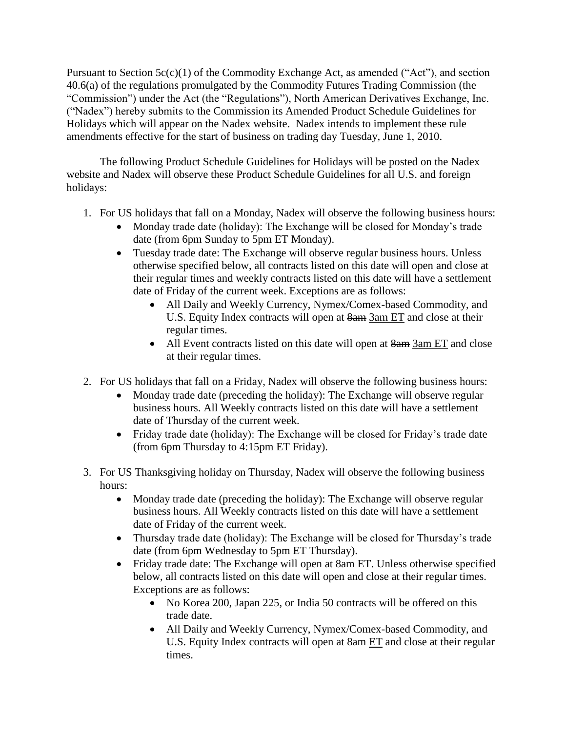Pursuant to Section  $5c(c)(1)$  of the Commodity Exchange Act, as amended ("Act"), and section 40.6(a) of the regulations promulgated by the Commodity Futures Trading Commission (the "Commission") under the Act (the "Regulations"), North American Derivatives Exchange, Inc. ("Nadex") hereby submits to the Commission its Amended Product Schedule Guidelines for Holidays which will appear on the Nadex website. Nadex intends to implement these rule amendments effective for the start of business on trading day Tuesday, June 1, 2010.

The following Product Schedule Guidelines for Holidays will be posted on the Nadex website and Nadex will observe these Product Schedule Guidelines for all U.S. and foreign holidays:

- 1. For US holidays that fall on a Monday, Nadex will observe the following business hours:
	- Monday trade date (holiday): The Exchange will be closed for Monday's trade date (from 6pm Sunday to 5pm ET Monday).
	- Tuesday trade date: The Exchange will observe regular business hours. Unless otherwise specified below, all contracts listed on this date will open and close at their regular times and weekly contracts listed on this date will have a settlement date of Friday of the current week. Exceptions are as follows:
		- All Daily and Weekly Currency, Nymex/Comex-based Commodity, and U.S. Equity Index contracts will open at 8am 3am ET and close at their regular times.
		- All Event contracts listed on this date will open at  $\frac{8am}{3am}$  ET and close at their regular times.
- 2. For US holidays that fall on a Friday, Nadex will observe the following business hours:
	- Monday trade date (preceding the holiday): The Exchange will observe regular business hours. All Weekly contracts listed on this date will have a settlement date of Thursday of the current week.
	- Friday trade date (holiday): The Exchange will be closed for Friday's trade date (from 6pm Thursday to 4:15pm ET Friday).
- 3. For US Thanksgiving holiday on Thursday, Nadex will observe the following business hours:
	- Monday trade date (preceding the holiday): The Exchange will observe regular business hours. All Weekly contracts listed on this date will have a settlement date of Friday of the current week.
	- Thursday trade date (holiday): The Exchange will be closed for Thursday's trade date (from 6pm Wednesday to 5pm ET Thursday).
	- Friday trade date: The Exchange will open at 8am ET. Unless otherwise specified below, all contracts listed on this date will open and close at their regular times. Exceptions are as follows:
		- No Korea 200, Japan 225, or India 50 contracts will be offered on this trade date.
		- All Daily and Weekly Currency, Nymex/Comex-based Commodity, and U.S. Equity Index contracts will open at 8am ET and close at their regular times.